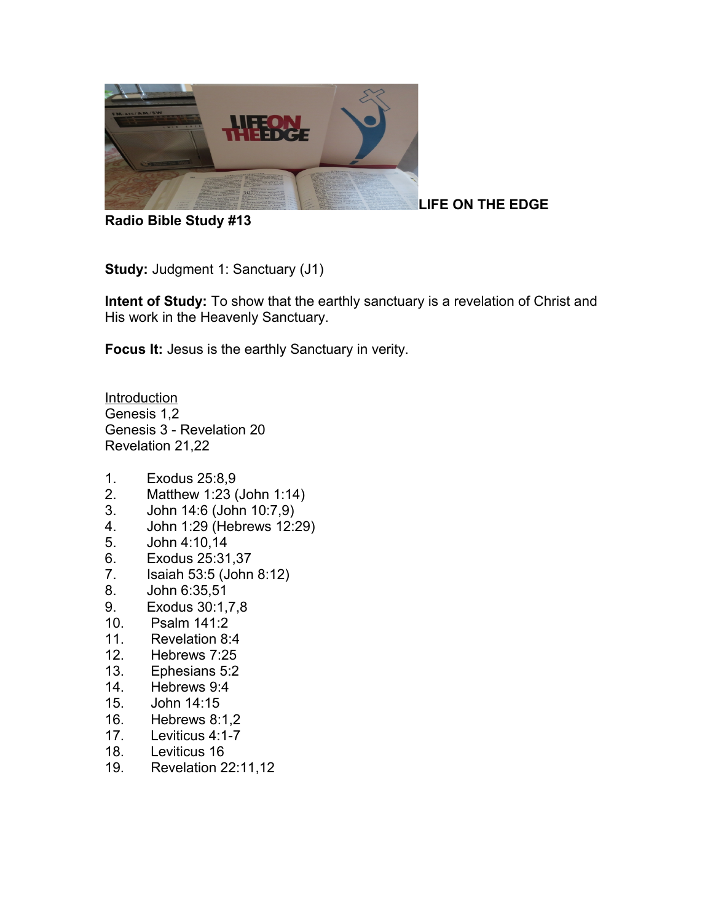

**LIFE ON THE EDGE**

**Radio Bible Study #13**

**Study: Judgment 1: Sanctuary (J1)** 

**Intent of Study:** To show that the earthly sanctuary is a revelation of Christ and His work in the Heavenly Sanctuary.

**Focus It:** Jesus is the earthly Sanctuary in verity.

Introduction Genesis 1,2 Genesis 3 - Revelation 20 Revelation 21,22

- 1. Exodus 25:8,9
- 2. Matthew 1:23 (John 1:14)
- 3. John 14:6 (John 10:7,9)
- 4. John 1:29 (Hebrews 12:29)
- 5. John 4:10,14
- 6. Exodus 25:31,37
- 7. Isaiah 53:5 (John 8:12)
- 8. John 6:35,51
- 9. Exodus 30:1,7,8
- 10. Psalm 141:2
- 11. Revelation 8:4
- 12. Hebrews 7:25
- 13. Ephesians 5:2
- 14. Hebrews 9:4
- 15. John 14:15
- 16. Hebrews 8:1,2
- 17. Leviticus 4:1-7
- 18. Leviticus 16
- 19. Revelation 22:11,12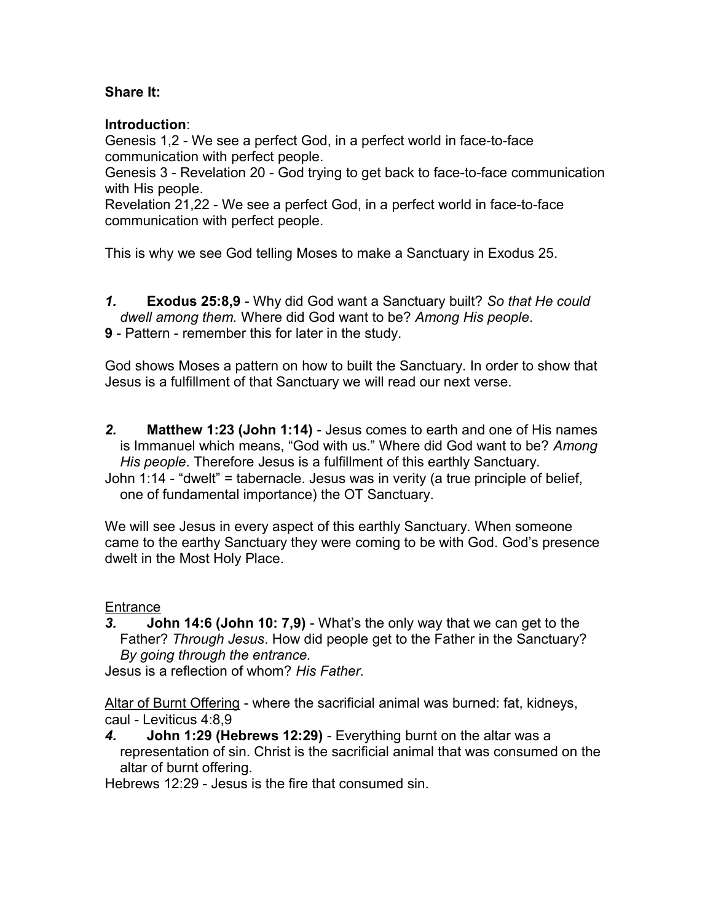## **Share It:**

#### **Introduction**:

Genesis 1,2 - We see a perfect God, in a perfect world in face-to-face communication with perfect people.

Genesis 3 - Revelation 20 - God trying to get back to face-to-face communication with His people.

Revelation 21,22 - We see a perfect God, in a perfect world in face-to-face communication with perfect people.

This is why we see God telling Moses to make a Sanctuary in Exodus 25.

- *1.* **Exodus 25:8,9** Why did God want a Sanctuary built? *So that He could dwell among them.* Where did God want to be? *Among His people*.
- **9** Pattern remember this for later in the study.

God shows Moses a pattern on how to built the Sanctuary. In order to show that Jesus is a fulfillment of that Sanctuary we will read our next verse.

*2.* **Matthew 1:23 (John 1:14)** - Jesus comes to earth and one of His names is Immanuel which means, "God with us." Where did God want to be? *Among His people*. Therefore Jesus is a fulfillment of this earthly Sanctuary.

John 1:14 - "dwelt" = tabernacle. Jesus was in verity (a true principle of belief, one of fundamental importance) the OT Sanctuary.

We will see Jesus in every aspect of this earthly Sanctuary. When someone came to the earthy Sanctuary they were coming to be with God. God's presence dwelt in the Most Holy Place.

## **Entrance**

*3.* **John 14:6 (John 10: 7,9)** - What's the only way that we can get to the Father? *Through Jesus*. How did people get to the Father in the Sanctuary? *By going through the entrance.*

Jesus is a reflection of whom? *His Father.* 

Altar of Burnt Offering - where the sacrificial animal was burned: fat, kidneys, caul - Leviticus 4:8,9

*4.* **John 1:29 (Hebrews 12:29)** - Everything burnt on the altar was a representation of sin. Christ is the sacrificial animal that was consumed on the altar of burnt offering.

Hebrews 12:29 - Jesus is the fire that consumed sin.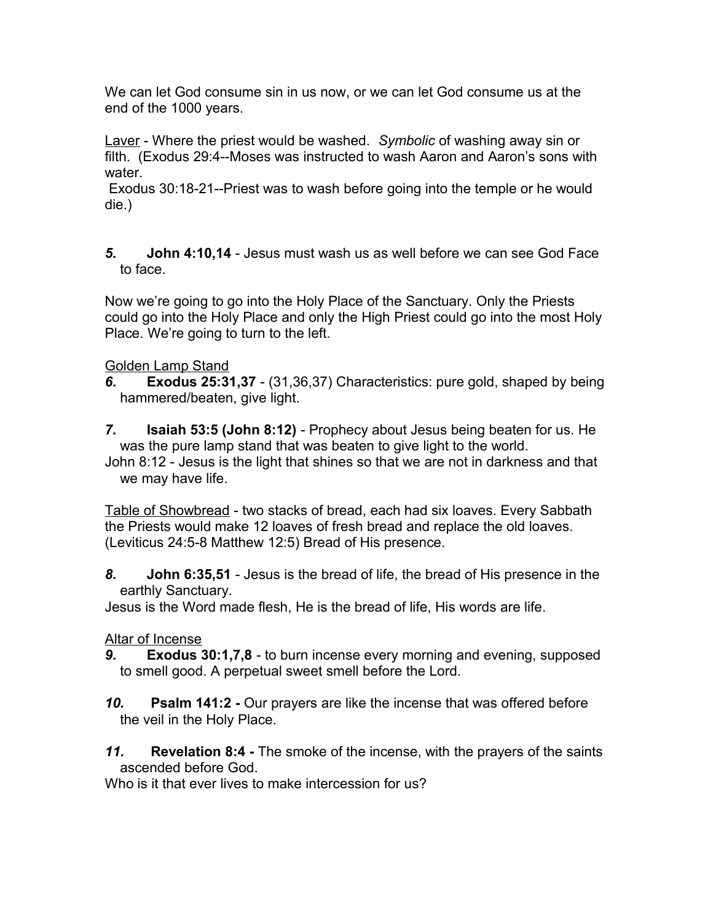We can let God consume sin in us now, or we can let God consume us at the end of the 1000 years.

Laver - Where the priest would be washed. *Symbolic* of washing away sin or filth. (Exodus 29:4--Moses was instructed to wash Aaron and Aaron's sons with water.

Exodus 30:18-21--Priest was to wash before going into the temple or he would die.)

*5.* **John 4:10,14** - Jesus must wash us as well before we can see God Face to face.

Now we're going to go into the Holy Place of the Sanctuary. Only the Priests could go into the Holy Place and only the High Priest could go into the most Holy Place. We're going to turn to the left.

# Golden Lamp Stand

- *6.* **Exodus 25:31,37** (31,36,37) Characteristics: pure gold, shaped by being hammered/beaten, give light.
- *7.* **Isaiah 53:5 (John 8:12)** Prophecy about Jesus being beaten for us. He was the pure lamp stand that was beaten to give light to the world.

John 8:12 - Jesus is the light that shines so that we are not in darkness and that we may have life.

Table of Showbread - two stacks of bread, each had six loaves. Every Sabbath the Priests would make 12 loaves of fresh bread and replace the old loaves. (Leviticus 24:5-8 Matthew 12:5) Bread of His presence.

*8.* **John 6:35,51** - Jesus is the bread of life, the bread of His presence in the earthly Sanctuary.

Jesus is the Word made flesh, He is the bread of life, His words are life.

## Altar of Incense

- *9.* **Exodus 30:1,7,8** to burn incense every morning and evening, supposed to smell good. A perpetual sweet smell before the Lord.
- *10.* **Psalm 141:2 -** Our prayers are like the incense that was offered before the veil in the Holy Place.
- *11.* **Revelation 8:4** The smoke of the incense, with the prayers of the saints ascended before God.

Who is it that ever lives to make intercession for us?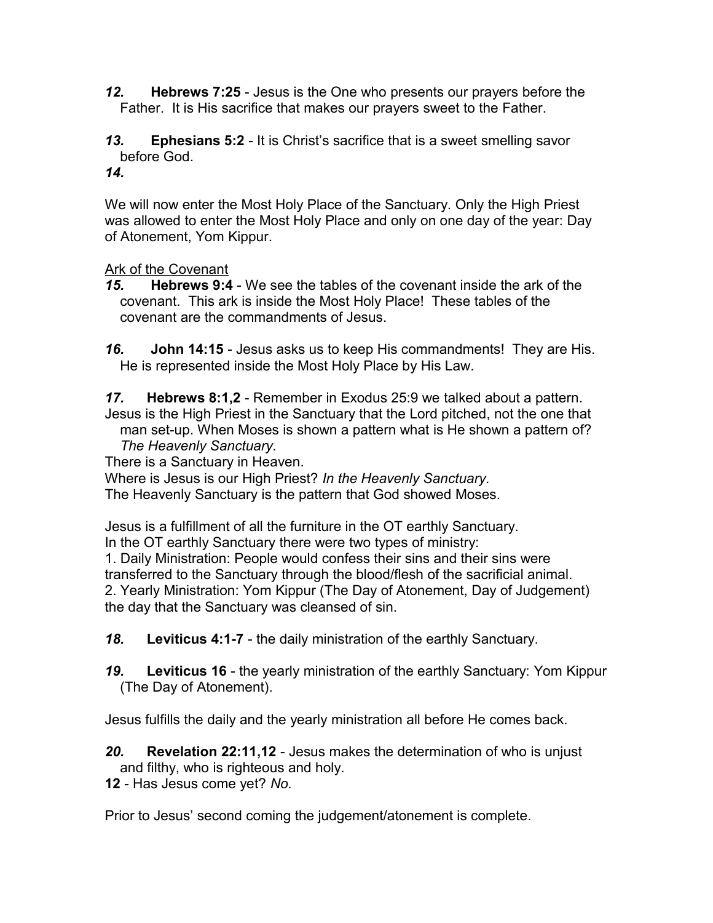- *12.* **Hebrews 7:25** Jesus is the One who presents our prayers before the Father. It is His sacrifice that makes our prayers sweet to the Father.
- *13.* **Ephesians 5:2** It is Christ's sacrifice that is a sweet smelling savor before God.
- *14.*

We will now enter the Most Holy Place of the Sanctuary. Only the High Priest was allowed to enter the Most Holy Place and only on one day of the year: Day of Atonement, Yom Kippur.

Ark of the Covenant

- *15.* **Hebrews 9:4** We see the tables of the covenant inside the ark of the covenant. This ark is inside the Most Holy Place! These tables of the covenant are the commandments of Jesus.
- *16.* **John 14:15** Jesus asks us to keep His commandments! They are His. He is represented inside the Most Holy Place by His Law.

*17.* **Hebrews 8:1,2** - Remember in Exodus 25:9 we talked about a pattern. Jesus is the High Priest in the Sanctuary that the Lord pitched, not the one that man set-up. When Moses is shown a pattern what is He shown a pattern of? *The Heavenly Sanctuary.* 

There is a Sanctuary in Heaven.

Where is Jesus is our High Priest? *In the Heavenly Sanctuary.* The Heavenly Sanctuary is the pattern that God showed Moses.

Jesus is a fulfillment of all the furniture in the OT earthly Sanctuary.

In the OT earthly Sanctuary there were two types of ministry: 1. Daily Ministration: People would confess their sins and their sins were transferred to the Sanctuary through the blood/flesh of the sacrificial animal. 2. Yearly Ministration: Yom Kippur (The Day of Atonement, Day of Judgement) the day that the Sanctuary was cleansed of sin.

*18.* **Leviticus 4:1-7** - the daily ministration of the earthly Sanctuary.

*19.* **Leviticus 16** - the yearly ministration of the earthly Sanctuary: Yom Kippur (The Day of Atonement).

Jesus fulfills the daily and the yearly ministration all before He comes back.

*20.* **Revelation 22:11,12** - Jesus makes the determination of who is unjust and filthy, who is righteous and holy.

**12** - Has Jesus come yet? *No.* 

Prior to Jesus' second coming the judgement/atonement is complete.